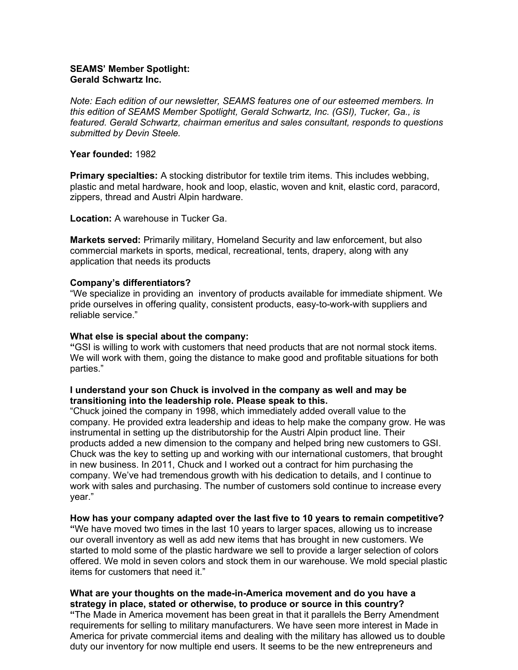### SEAMS' Member Spotlight: Gerald Schwartz Inc.

Note: Each edition of our newsletter, SEAMS features one of our esteemed members. In this edition of SEAMS Member Spotlight, Gerald Schwartz, Inc. (GSI), Tucker, Ga., is featured. Gerald Schwartz, chairman emeritus and sales consultant, responds to questions submitted by Devin Steele.

#### Year founded: 1982

Primary specialties: A stocking distributor for textile trim items. This includes webbing, plastic and metal hardware, hook and loop, elastic, woven and knit, elastic cord, paracord, zippers, thread and Austri Alpin hardware.

Location: A warehouse in Tucker Ga.

Markets served: Primarily military, Homeland Security and law enforcement, but also commercial markets in sports, medical, recreational, tents, drapery, along with any application that needs its products

### Company's differentiators?

"We specialize in providing an inventory of products available for immediate shipment. We pride ourselves in offering quality, consistent products, easy-to-work-with suppliers and reliable service."

#### What else is special about the company:

"GSI is willing to work with customers that need products that are not normal stock items. We will work with them, going the distance to make good and profitable situations for both parties."

#### I understand your son Chuck is involved in the company as well and may be transitioning into the leadership role. Please speak to this.

"Chuck joined the company in 1998, which immediately added overall value to the company. He provided extra leadership and ideas to help make the company grow. He was instrumental in setting up the distributorship for the Austri Alpin product line. Their products added a new dimension to the company and helped bring new customers to GSI. Chuck was the key to setting up and working with our international customers, that brought in new business. In 2011, Chuck and I worked out a contract for him purchasing the company. We've had tremendous growth with his dedication to details, and I continue to work with sales and purchasing. The number of customers sold continue to increase every year."

### How has your company adapted over the last five to 10 years to remain competitive?

"We have moved two times in the last 10 years to larger spaces, allowing us to increase our overall inventory as well as add new items that has brought in new customers. We started to mold some of the plastic hardware we sell to provide a larger selection of colors offered. We mold in seven colors and stock them in our warehouse. We mold special plastic items for customers that need it."

### What are your thoughts on the made-in-America movement and do you have a strategy in place, stated or otherwise, to produce or source in this country?

"The Made in America movement has been great in that it parallels the Berry Amendment requirements for selling to military manufacturers. We have seen more interest in Made in America for private commercial items and dealing with the military has allowed us to double duty our inventory for now multiple end users. It seems to be the new entrepreneurs and